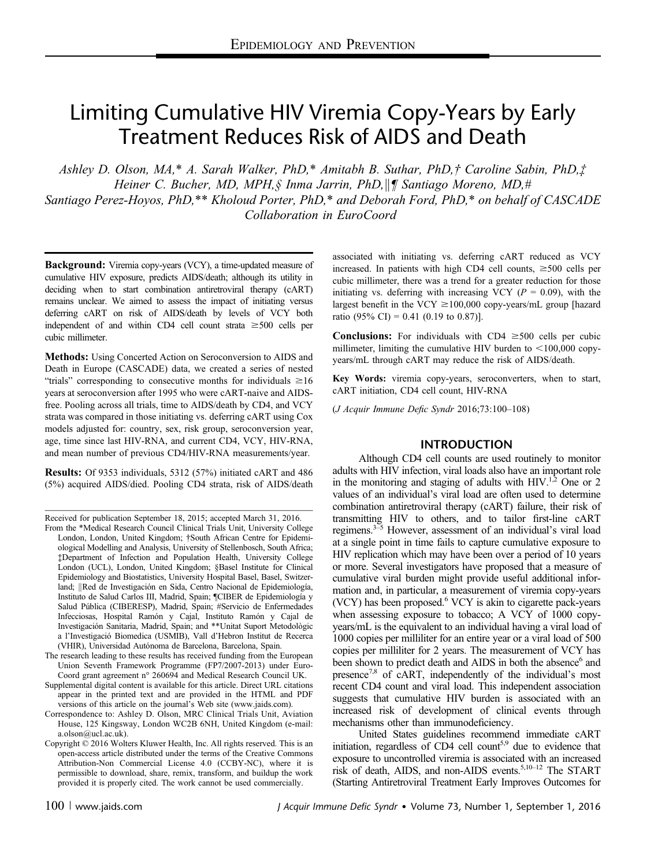# Limiting Cumulative HIV Viremia Copy-Years by Early Treatment Reduces Risk of AIDS and Death

Ashley D. Olson, MA,\* A. Sarah Walker, PhD,\* Amitabh B. Suthar, PhD,† Caroline Sabin, PhD,‡ Heiner C. Bucher, MD, MPH, § Inma Jarrin, PhD,  $\|\P$  Santiago Moreno, MD,# Santiago Perez-Hoyos, PhD,\*\* Kholoud Porter, PhD,\* and Deborah Ford, PhD,\* on behalf of CASCADE Collaboration in EuroCoord

Background: Viremia copy-years (VCY), a time-updated measure of cumulative HIV exposure, predicts AIDS/death; although its utility in deciding when to start combination antiretroviral therapy (cART) remains unclear. We aimed to assess the impact of initiating versus deferring cART on risk of AIDS/death by levels of VCY both independent of and within CD4 cell count strata  $\geq 500$  cells per cubic millimeter.

Methods: Using Concerted Action on Seroconversion to AIDS and Death in Europe (CASCADE) data, we created a series of nested "trials" corresponding to consecutive months for individuals  $\geq 16$ years at seroconversion after 1995 who were cART-naive and AIDSfree. Pooling across all trials, time to AIDS/death by CD4, and VCY strata was compared in those initiating vs. deferring cART using Cox models adjusted for: country, sex, risk group, seroconversion year, age, time since last HIV-RNA, and current CD4, VCY, HIV-RNA, and mean number of previous CD4/HIV-RNA measurements/year.

Results: Of 9353 individuals, 5312 (57%) initiated cART and 486 (5%) acquired AIDS/died. Pooling CD4 strata, risk of AIDS/death

Received for publication September 18, 2015; accepted March 31, 2016.

The research leading to these results has received funding from the European Union Seventh Framework Programme (FP7/2007-2013) under Euro-Coord grant agreement n° 260694 and Medical Research Council UK.

Supplemental digital content is available for this article. Direct URL citations appear in the printed text and are provided in the HTML and PDF versions of this article on the journal's Web site ([www.jaids.com](http://www.jaids.com)).

Correspondence to: Ashley D. Olson, MRC Clinical Trials Unit, Aviation House, 125 Kingsway, London WC2B 6NH, United Kingdom (e-mail: [a.olson@ucl.ac.uk\)](mailto:a.olson@ucl.ac.uk).

Copyright © 2016 Wolters Kluwer Health, Inc. All rights reserved. This is an open-access article distributed under the terms of the [Creative Commons](http://Creative Commons Attribution-Non Commercial License 4.0 (CCBY-NC)) [Attribution-Non Commercial License 4.0 \(CCBY-NC\)](http://Creative Commons Attribution-Non Commercial License 4.0 (CCBY-NC)), where it is permissible to download, share, remix, transform, and buildup the work provided it is properly cited. The work cannot be used commercially.

associated with initiating vs. deferring cART reduced as VCY increased. In patients with high CD4 cell counts,  $\geq 500$  cells per cubic millimeter, there was a trend for a greater reduction for those initiating vs. deferring with increasing VCY ( $P = 0.09$ ), with the largest benefit in the VCY  $\geq$  100,000 copy-years/mL group [hazard ratio (95% CI) = 0.41 (0.19 to 0.87)].

**Conclusions:** For individuals with CD4  $\geq$ 500 cells per cubic millimeter, limiting the cumulative HIV burden to  $\leq$ 100,000 copyyears/mL through cART may reduce the risk of AIDS/death.

Key Words: viremia copy-years, seroconverters, when to start, cART initiation, CD4 cell count, HIV-RNA

(J Acquir Immune Defic Syndr 2016;73:100–108)

## INTRODUCTION

Although CD4 cell counts are used routinely to monitor adults with HIV infection, viral loads also have an important role in the monitoring and staging of adults with  $HIV^{1,2}$  One or 2 values of an individual's viral load are often used to determine combination antiretroviral therapy (cART) failure, their risk of transmitting HIV to others, and to tailor first-line cART regimens.<sup>3–5</sup> However, assessment of an individual's viral load at a single point in time fails to capture cumulative exposure to HIV replication which may have been over a period of 10 years or more. Several investigators have proposed that a measure of cumulative viral burden might provide useful additional information and, in particular, a measurement of viremia copy-years (VCY) has been proposed.<sup>6</sup> VCY is akin to cigarette pack-years when assessing exposure to tobacco; A VCY of 1000 copyyears/mL is the equivalent to an individual having a viral load of 1000 copies per milliliter for an entire year or a viral load of 500 copies per milliliter for 2 years. The measurement of VCY has been shown to predict death and AIDS in both the absence<sup>6</sup> and presence<sup>7,8</sup> of cART, independently of the individual's most recent CD4 count and viral load. This independent association suggests that cumulative HIV burden is associated with an increased risk of development of clinical events through mechanisms other than immunodeficiency.

United States guidelines recommend immediate cART initiation, regardless of CD4 cell count<sup>5,9</sup> due to evidence that exposure to uncontrolled viremia is associated with an increased risk of death, AIDS, and non-AIDS events.5,10–<sup>12</sup> The START (Starting Antiretroviral Treatment Early Improves Outcomes for

From the \*Medical Research Council Clinical Trials Unit, University College London, London, United Kingdom; †South African Centre for Epidemiological Modelling and Analysis, University of Stellenbosch, South Africa; ‡Department of Infection and Population Health, University College London (UCL), London, United Kingdom; §Basel Institute for Clinical Epidemiology and Biostatistics, University Hospital Basel, Basel, Switzerland; ||Red de Investigación en Sida, Centro Nacional de Epidemiología, Instituto de Salud Carlos III, Madrid, Spain; ¶CIBER de Epidemiología y Salud Pública (CIBERESP), Madrid, Spain; #Servicio de Enfermedades Infecciosas, Hospital Ramón y Cajal, Instituto Ramón y Cajal de Investigación Sanitaria, Madrid, Spain; and \*\*Unitat Suport Metodològic a l'Investigació Biomedica (USMIB), Vall d'Hebron Institut de Recerca (VHIR), Universidad Autónoma de Barcelona, Barcelona, Spain.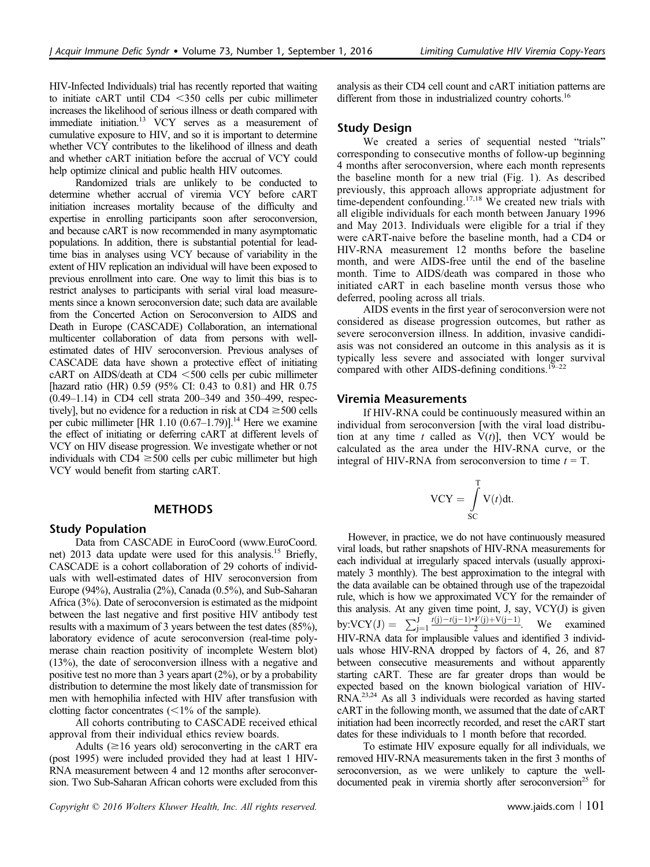HIV-Infected Individuals) trial has recently reported that waiting to initiate  $cART$  until  $CD4 < 350$  cells per cubic millimeter increases the likelihood of serious illness or death compared with immediate initiation.13 VCY serves as a measurement of cumulative exposure to HIV, and so it is important to determine whether VCY contributes to the likelihood of illness and death and whether cART initiation before the accrual of VCY could help optimize clinical and public health HIV outcomes.

Randomized trials are unlikely to be conducted to determine whether accrual of viremia VCY before cART initiation increases mortality because of the difficulty and expertise in enrolling participants soon after seroconversion, and because cART is now recommended in many asymptomatic populations. In addition, there is substantial potential for leadtime bias in analyses using VCY because of variability in the extent of HIV replication an individual will have been exposed to previous enrollment into care. One way to limit this bias is to restrict analyses to participants with serial viral load measurements since a known seroconversion date; such data are available from the Concerted Action on Seroconversion to AIDS and Death in Europe (CASCADE) Collaboration, an international multicenter collaboration of data from persons with wellestimated dates of HIV seroconversion. Previous analyses of CASCADE data have shown a protective effect of initiating  $cART$  on AIDS/death at CD4  $<$  500 cells per cubic millimeter [hazard ratio (HR) 0.59 (95% CI: 0.43 to 0.81) and HR 0.75 (0.49–1.14) in CD4 cell strata 200–349 and 350–499, respectively], but no evidence for a reduction in risk at  $CD4 \geq 500$  cells per cubic millimeter [HR  $1.10$  (0.67–1.79)].<sup>14</sup> Here we examine the effect of initiating or deferring cART at different levels of VCY on HIV disease progression. We investigate whether or not individuals with  $CD4 \geq 500$  cells per cubic millimeter but high VCY would benefit from starting cART.

## **METHODS**

#### Study Population

Data from CASCADE in EuroCoord ([www.EuroCoord.](http://www.eurocoord.net/) [net\)](http://www.eurocoord.net/) 2013 data update were used for this analysis.<sup>15</sup> Briefly, CASCADE is a cohort collaboration of 29 cohorts of individuals with well-estimated dates of HIV seroconversion from Europe (94%), Australia (2%), Canada (0.5%), and Sub-Saharan Africa (3%). Date of seroconversion is estimated as the midpoint between the last negative and first positive HIV antibody test results with a maximum of 3 years between the test dates (85%), laboratory evidence of acute seroconversion (real-time polymerase chain reaction positivity of incomplete Western blot) (13%), the date of seroconversion illness with a negative and positive test no more than 3 years apart (2%), or by a probability distribution to determine the most likely date of transmission for men with hemophilia infected with HIV after transfusion with clotting factor concentrates  $\left($  < 1% of the sample).

All cohorts contributing to CASCADE received ethical approval from their individual ethics review boards.

Adults ( $\geq$ 16 years old) seroconverting in the cART era (post 1995) were included provided they had at least 1 HIV-RNA measurement between 4 and 12 months after seroconversion. Two Sub-Saharan African cohorts were excluded from this

Copyright  $\odot$  2016 Wolters Kluwer Health, Inc. All rights reserved. www.jaids.com | 101

analysis as their CD4 cell count and cART initiation patterns are different from those in industrialized country cohorts.<sup>16</sup>

## Study Design

We created a series of sequential nested "trials" corresponding to consecutive months of follow-up beginning 4 months after seroconversion, where each month represents the baseline month for a new trial (Fig. 1). As described previously, this approach allows appropriate adjustment for time-dependent confounding.<sup>17,18</sup> We created new trials with all eligible individuals for each month between January 1996 and May 2013. Individuals were eligible for a trial if they were cART-naive before the baseline month, had a CD4 or HIV-RNA measurement 12 months before the baseline month, and were AIDS-free until the end of the baseline month. Time to AIDS/death was compared in those who initiated cART in each baseline month versus those who deferred, pooling across all trials.

AIDS events in the first year of seroconversion were not considered as disease progression outcomes, but rather as severe seroconversion illness. In addition, invasive candidiasis was not considered an outcome in this analysis as it is typically less severe and associated with longer survival compared with other AIDS-defining conditions.<sup>19–22</sup>

#### Viremia Measurements

If HIV-RNA could be continuously measured within an individual from seroconversion [with the viral load distribution at any time t called as  $V(t)$ ], then VCY would be calculated as the area under the HIV-RNA curve, or the integral of HIV-RNA from seroconversion to time  $t = T$ .

$$
VCY = \int_{SC}^{T} V(t)dt.
$$

However, in practice, we do not have continuously measured viral loads, but rather snapshots of HIV-RNA measurements for each individual at irregularly spaced intervals (usually approximately 3 monthly). The best approximation to the integral with the data available can be obtained through use of the trapezoidal rule, which is how we approximated VCY for the remainder of this analysis. At any given time point, J, say, VCY(J) is given by:VCY $(J) = \sum_{j=1}^{J} \frac{t(j)-t(j-1)*V(j)+V(j-1)}{2}$ , We examined HIV-RNA data for implausible values and identified 3 individuals whose HIV-RNA dropped by factors of 4, 26, and 87 between consecutive measurements and without apparently starting cART. These are far greater drops than would be expected based on the known biological variation of HIV-RNA.23,24 As all 3 individuals were recorded as having started cART in the following month, we assumed that the date of cART initiation had been incorrectly recorded, and reset the cART start dates for these individuals to 1 month before that recorded.

To estimate HIV exposure equally for all individuals, we removed HIV-RNA measurements taken in the first 3 months of seroconversion, as we were unlikely to capture the welldocumented peak in viremia shortly after seroconversion<sup>25</sup> for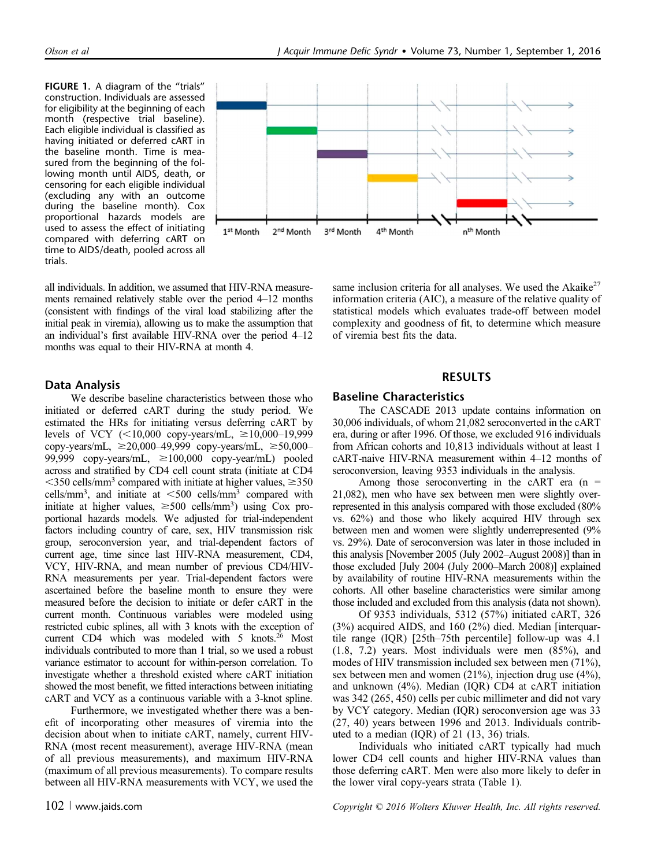FIGURE 1. A diagram of the "trials" construction. Individuals are assessed for eligibility at the beginning of each month (respective trial baseline). Each eligible individual is classified as having initiated or deferred cART in the baseline month. Time is measured from the beginning of the following month until AIDS, death, or censoring for each eligible individual (excluding any with an outcome during the baseline month). Cox proportional hazards models are used to assess the effect of initiating compared with deferring cART on time to AIDS/death, pooled across all trials.



all individuals. In addition, we assumed that HIV-RNA measurements remained relatively stable over the period 4–12 months (consistent with findings of the viral load stabilizing after the initial peak in viremia), allowing us to make the assumption that an individual's first available HIV-RNA over the period 4–12 months was equal to their HIV-RNA at month 4.

## Data Analysis

We describe baseline characteristics between those who initiated or deferred cART during the study period. We estimated the HRs for initiating versus deferring cART by levels of VCY  $(<10,000$  copy-years/mL,  $\ge 10,000-19,999$ copy-years/mL,  $\geq 20,000-49,999$  copy-years/mL,  $\geq 50,000-$ 99,999 copy-years/mL,  $\geq 100,000$  copy-year/mL) pooled across and stratified by CD4 cell count strata (initiate at CD4  $\leq$ 350 cells/mm<sup>3</sup> compared with initiate at higher values,  $\geq$ 350 cells/mm<sup>3</sup>, and initiate at  $\leq 500$  cells/mm<sup>3</sup> compared with initiate at higher values,  $\geq 500$  cells/mm<sup>3</sup>) using Cox proportional hazards models. We adjusted for trial-independent factors including country of care, sex, HIV transmission risk group, seroconversion year, and trial-dependent factors of current age, time since last HIV-RNA measurement, CD4, VCY, HIV-RNA, and mean number of previous CD4/HIV-RNA measurements per year. Trial-dependent factors were ascertained before the baseline month to ensure they were measured before the decision to initiate or defer cART in the current month. Continuous variables were modeled using restricted cubic splines, all with 3 knots with the exception of current CD4 which was modeled with 5 knots. $^{26}$  Most individuals contributed to more than 1 trial, so we used a robust variance estimator to account for within-person correlation. To investigate whether a threshold existed where cART initiation showed the most benefit, we fitted interactions between initiating cART and VCY as a continuous variable with a 3-knot spline.

Furthermore, we investigated whether there was a benefit of incorporating other measures of viremia into the decision about when to initiate cART, namely, current HIV-RNA (most recent measurement), average HIV-RNA (mean of all previous measurements), and maximum HIV-RNA (maximum of all previous measurements). To compare results between all HIV-RNA measurements with VCY, we used the same inclusion criteria for all analyses. We used the Akaike<sup>27</sup> information criteria (AIC), a measure of the relative quality of statistical models which evaluates trade-off between model complexity and goodness of fit, to determine which measure of viremia best fits the data.

### RESULTS

## Baseline Characteristics

The CASCADE 2013 update contains information on 30,006 individuals, of whom 21,082 seroconverted in the cART era, during or after 1996. Of those, we excluded 916 individuals from African cohorts and 10,813 individuals without at least 1 cART-naive HIV-RNA measurement within 4–12 months of seroconversion, leaving 9353 individuals in the analysis.

Among those seroconverting in the cART era  $(n =$ 21,082), men who have sex between men were slightly overrepresented in this analysis compared with those excluded (80% vs. 62%) and those who likely acquired HIV through sex between men and women were slightly underrepresented (9% vs. 29%). Date of seroconversion was later in those included in this analysis [November 2005 (July 2002–August 2008)] than in those excluded [July 2004 (July 2000–March 2008)] explained by availability of routine HIV-RNA measurements within the cohorts. All other baseline characteristics were similar among those included and excluded from this analysis (data not shown).

Of 9353 individuals, 5312 (57%) initiated cART, 326 (3%) acquired AIDS, and 160 (2%) died. Median [interquartile range (IQR) [25th–75th percentile] follow-up was 4.1 (1.8, 7.2) years. Most individuals were men (85%), and modes of HIV transmission included sex between men (71%), sex between men and women (21%), injection drug use (4%), and unknown (4%). Median (IQR) CD4 at cART initiation was 342 (265, 450) cells per cubic millimeter and did not vary by VCY category. Median (IQR) seroconversion age was 33 (27, 40) years between 1996 and 2013. Individuals contributed to a median (IQR) of 21 (13, 36) trials.

Individuals who initiated cART typically had much lower CD4 cell counts and higher HIV-RNA values than those deferring cART. Men were also more likely to defer in the lower viral copy-years strata (Table 1).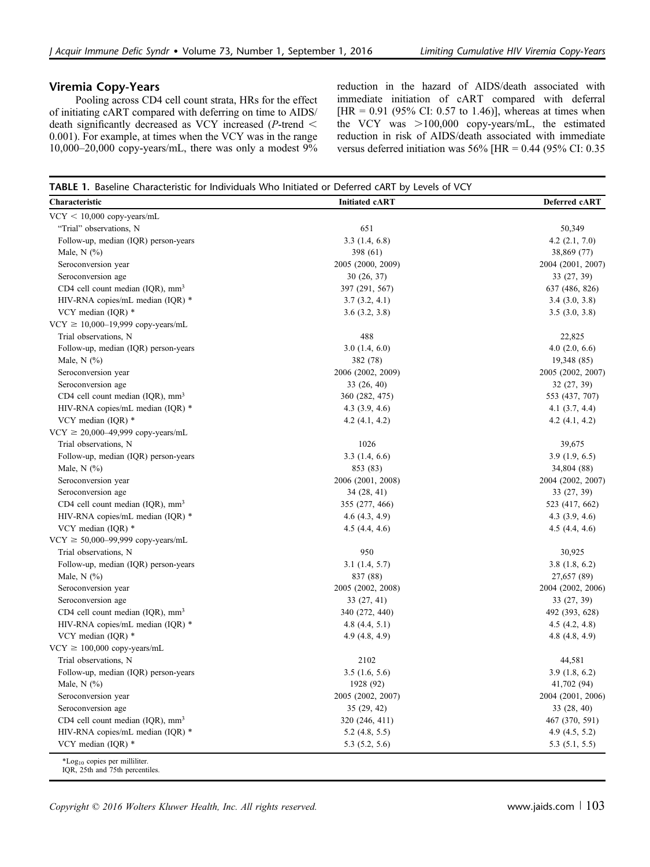## Viremia Copy-Years

Pooling across CD4 cell count strata, HRs for the effect of initiating cART compared with deferring on time to AIDS/ death significantly decreased as VCY increased ( $P$ -trend < 0.001). For example, at times when the VCY was in the range 10,000–20,000 copy-years/mL, there was only a modest 9% reduction in the hazard of AIDS/death associated with immediate initiation of cART compared with deferral [HR =  $0.91$  (95% CI: 0.57 to 1.46)], whereas at times when the VCY was  $>100,000$  copy-years/mL, the estimated reduction in risk of AIDS/death associated with immediate versus deferred initiation was 56% [HR = 0.44 (95% CI: 0.35

| TABLE 1. Baseline Characteristic for Individuals Who Initiated or Deferred cART by Levels of VCY |                       |                    |  |  |  |  |  |  |
|--------------------------------------------------------------------------------------------------|-----------------------|--------------------|--|--|--|--|--|--|
| Characteristic                                                                                   | <b>Initiated cART</b> | Deferred cART      |  |  |  |  |  |  |
| $VCY < 10,000$ copy-years/mL                                                                     |                       |                    |  |  |  |  |  |  |
| "Trial" observations, N                                                                          | 651                   | 50,349             |  |  |  |  |  |  |
| Follow-up, median (IQR) person-years                                                             | 3.3(1.4, 6.8)         | $4.2$ $(2.1, 7.0)$ |  |  |  |  |  |  |
| Male, $N$ $(\%)$                                                                                 | 398 (61)              | 38,869 (77)        |  |  |  |  |  |  |
| Seroconversion year                                                                              | 2005 (2000, 2009)     | 2004 (2001, 2007)  |  |  |  |  |  |  |
| Seroconversion age                                                                               | 30 (26, 37)           | 33 (27, 39)        |  |  |  |  |  |  |
| CD4 cell count median (IQR), mm <sup>3</sup>                                                     | 397 (291, 567)        | 637 (486, 826)     |  |  |  |  |  |  |
| HIV-RNA copies/mL median (IQR) *                                                                 | 3.7(3.2, 4.1)         | 3.4(3.0, 3.8)      |  |  |  |  |  |  |
| VCY median $(IQR)$ *                                                                             | 3.6(3.2, 3.8)         | 3.5(3.0, 3.8)      |  |  |  |  |  |  |
| $VCY \ge 10,000-19,999$ copy-years/mL                                                            |                       |                    |  |  |  |  |  |  |
| Trial observations, N                                                                            | 488                   | 22,825             |  |  |  |  |  |  |
| Follow-up, median (IQR) person-years                                                             | 3.0(1.4, 6.0)         | 4.0(2.0, 6.6)      |  |  |  |  |  |  |
| Male, $N$ $(\%)$                                                                                 | 382 (78)              | 19,348 (85)        |  |  |  |  |  |  |
| Seroconversion year                                                                              | 2006 (2002, 2009)     | 2005 (2002, 2007)  |  |  |  |  |  |  |
| Seroconversion age                                                                               | 33 (26, 40)           | 32(27, 39)         |  |  |  |  |  |  |
| CD4 cell count median (IQR), mm <sup>3</sup>                                                     | 360 (282, 475)        | 553 (437, 707)     |  |  |  |  |  |  |
| HIV-RNA copies/mL median (IQR) *                                                                 | 4.3(3.9, 4.6)         | 4.1(3.7, 4.4)      |  |  |  |  |  |  |
| VCY median (IQR) *                                                                               | 4.2(4.1, 4.2)         | 4.2(4.1, 4.2)      |  |  |  |  |  |  |
| $VCY \ge 20,000-49,999$ copy-years/mL                                                            |                       |                    |  |  |  |  |  |  |
| Trial observations, N                                                                            | 1026                  | 39,675             |  |  |  |  |  |  |
| Follow-up, median (IQR) person-years                                                             | 3.3(1.4, 6.6)         | 3.9(1.9, 6.5)      |  |  |  |  |  |  |
| Male, $N$ $(\%)$                                                                                 | 853 (83)              | 34,804 (88)        |  |  |  |  |  |  |
| Seroconversion year                                                                              | 2006 (2001, 2008)     | 2004 (2002, 2007)  |  |  |  |  |  |  |
| Seroconversion age                                                                               | 34 (28, 41)           | 33 (27, 39)        |  |  |  |  |  |  |
| CD4 cell count median $(IQR)$ , mm <sup>3</sup>                                                  | 355 (277, 466)        | 523 (417, 662)     |  |  |  |  |  |  |
| HIV-RNA copies/mL median (IQR) *                                                                 | 4.6(4.3, 4.9)         | 4.3(3.9, 4.6)      |  |  |  |  |  |  |
| VCY median $(IQR)$ *                                                                             | 4.5(4.4, 4.6)         | 4.5(4.4, 4.6)      |  |  |  |  |  |  |
| $VCY \ge 50,000-99,999$ copy-years/mL                                                            |                       |                    |  |  |  |  |  |  |
| Trial observations, N                                                                            | 950                   | 30,925             |  |  |  |  |  |  |
| Follow-up, median (IQR) person-years                                                             | 3.1(1.4, 5.7)         | 3.8(1.8, 6.2)      |  |  |  |  |  |  |
| Male, $N$ $(\%)$                                                                                 | 837 (88)              | 27,657 (89)        |  |  |  |  |  |  |
| Seroconversion year                                                                              | 2005 (2002, 2008)     | 2004 (2002, 2006)  |  |  |  |  |  |  |
| Seroconversion age                                                                               | 33 (27, 41)           | 33 (27, 39)        |  |  |  |  |  |  |
| CD4 cell count median (IQR), mm <sup>3</sup>                                                     | 340 (272, 440)        | 492 (393, 628)     |  |  |  |  |  |  |
| HIV-RNA copies/mL median (IQR) *                                                                 | 4.8(4.4, 5.1)         | 4.5(4.2, 4.8)      |  |  |  |  |  |  |
| VCY median $(IQR)$ *                                                                             | 4.9 (4.8, 4.9)        | 4.8(4.8, 4.9)      |  |  |  |  |  |  |
| $VCY \ge 100,000$ copy-years/mL                                                                  |                       |                    |  |  |  |  |  |  |
| Trial observations, N                                                                            | 2102                  | 44,581             |  |  |  |  |  |  |
| Follow-up, median (IQR) person-years                                                             | 3.5(1.6, 5.6)         | 3.9(1.8, 6.2)      |  |  |  |  |  |  |
| Male, $N$ $(\%)$                                                                                 | 1928 (92)             | 41,702 (94)        |  |  |  |  |  |  |
| Seroconversion year                                                                              | 2005 (2002, 2007)     | 2004 (2001, 2006)  |  |  |  |  |  |  |
| Seroconversion age                                                                               | 35(29, 42)            | 33 (28, 40)        |  |  |  |  |  |  |
| CD4 cell count median (IQR), mm <sup>3</sup>                                                     | 320 (246, 411)        | 467 (370, 591)     |  |  |  |  |  |  |
| HIV-RNA copies/mL median (IQR) *                                                                 | 5.2(4.8, 5.5)         | 4.9(4.5, 5.2)      |  |  |  |  |  |  |
| VCY median (IOR) *                                                                               | 5.3(5.2, 5.6)         | 5.3(5.1, 5.5)      |  |  |  |  |  |  |

Copyright  $\odot$  2016 Wolters Kluwer Health, Inc. All rights reserved. www.jaids.com | 103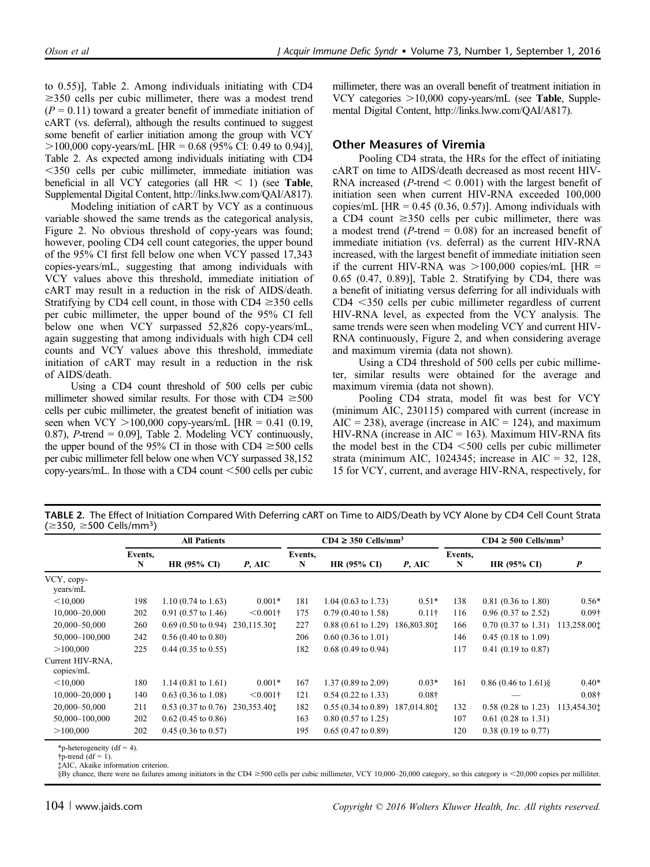to 0.55)], Table 2. Among individuals initiating with CD4  $\geq$ 350 cells per cubic millimeter, there was a modest trend  $(P = 0.11)$  toward a greater benefit of immediate initiation of cART (vs. deferral), although the results continued to suggest some benefit of earlier initiation among the group with VCY  $>100,000$  copy-years/mL [HR = 0.68 (95% CI: 0.49 to 0.94)], Table 2. As expected among individuals initiating with CD4 ,350 cells per cubic millimeter, immediate initiation was beneficial in all VCY categories (all  $HR < 1$ ) (see Table, Supplemental Digital Content,<http://links.lww.com/QAI/A817>).

Modeling initiation of cART by VCY as a continuous variable showed the same trends as the categorical analysis, Figure 2. No obvious threshold of copy-years was found; however, pooling CD4 cell count categories, the upper bound of the 95% CI first fell below one when VCY passed 17,343 copies-years/mL, suggesting that among individuals with VCY values above this threshold, immediate initiation of cART may result in a reduction in the risk of AIDS/death. Stratifying by CD4 cell count, in those with  $CD4 \ge 350$  cells per cubic millimeter, the upper bound of the 95% CI fell below one when VCY surpassed 52,826 copy-years/mL, again suggesting that among individuals with high CD4 cell counts and VCY values above this threshold, immediate initiation of cART may result in a reduction in the risk of AIDS/death.

Using a CD4 count threshold of 500 cells per cubic millimeter showed similar results. For those with  $CD4 \geq 500$ cells per cubic millimeter, the greatest benefit of initiation was seen when VCY  $>100,000$  copy-years/mL [HR = 0.41 (0.19, 0.87), *P*-trend = 0.09], Table 2. Modeling VCY continuously, the upper bound of the 95% CI in those with CD4  $\geq$ 500 cells per cubic millimeter fell below one when VCY surpassed 38,152 copy-years/mL. In those with a CD4 count  $<500$  cells per cubic millimeter, there was an overall benefit of treatment initiation in VCY categories  $>10,000$  copy-years/mL (see Table, Supplemental Digital Content, [http://links.lww.com/QAI/A817\)](http://links.lww.com/QAI/A817).

## Other Measures of Viremia

Pooling CD4 strata, the HRs for the effect of initiating cART on time to AIDS/death decreased as most recent HIV-RNA increased ( $P$ -trend  $< 0.001$ ) with the largest benefit of initiation seen when current HIV-RNA exceeded 100,000 copies/mL  $[HR = 0.45 (0.36, 0.57)]$ . Among individuals with a CD4 count  $\geq$ 350 cells per cubic millimeter, there was a modest trend ( $P$ -trend = 0.08) for an increased benefit of immediate initiation (vs. deferral) as the current HIV-RNA increased, with the largest benefit of immediate initiation seen if the current HIV-RNA was  $>100,000$  copies/mL [HR = 0.65 (0.47, 0.89)], Table 2. Stratifying by CD4, there was a benefit of initiating versus deferring for all individuals with  $CD4 < 350$  cells per cubic millimeter regardless of current HIV-RNA level, as expected from the VCY analysis. The same trends were seen when modeling VCY and current HIV-RNA continuously, Figure 2, and when considering average and maximum viremia (data not shown).

Using a CD4 threshold of 500 cells per cubic millimeter, similar results were obtained for the average and maximum viremia (data not shown).

Pooling CD4 strata, model fit was best for VCY (minimum AIC, 230115) compared with current (increase in  $AIC = 238$ , average (increase in  $AIC = 124$ ), and maximum HIV-RNA (increase in  $AIC = 163$ ). Maximum HIV-RNA fits the model best in the CD4  $\leq$ 500 cells per cubic millimeter strata (minimum AIC, 1024345; increase in AIC = 32, 128, 15 for VCY, current, and average HIV-RNA, respectively, for

TABLE 2. The Effect of Initiation Compared With Deferring cART on Time to AIDS/Death by VCY Alone by CD4 Cell Count Strata  $(\geq 350, \geq 500 \text{ Cells/mm}^3)$ 

|                               | <b>All Patients</b> |                               |                       | $CD4 \geq 350$ Cells/mm <sup>3</sup> |                               |                       | $CD4 \ge 500$ Cells/mm <sup>3</sup> |                        |                       |
|-------------------------------|---------------------|-------------------------------|-----------------------|--------------------------------------|-------------------------------|-----------------------|-------------------------------------|------------------------|-----------------------|
|                               | Events,<br>N        | HR $(95\% \text{ CI})$        | $P$ , AIC             | Events,<br>N                         | HR (95% CI)                   | $P$ , AIC             | Events,<br>N                        | <b>HR (95% CI)</b>     | $\boldsymbol{P}$      |
| VCY, copy-<br>years/mL        |                     |                               |                       |                                      |                               |                       |                                     |                        |                       |
| < 10,000                      | 198                 | $1.10(0.74 \text{ to } 1.63)$ | $0.001*$              | 181                                  | $1.04$ (0.63 to 1.73)         | $0.51*$               | 138                                 | $0.81$ (0.36 to 1.80)  | $0.56*$               |
| $10,000 - 20,000$             | 202                 | $0.91(0.57 \text{ to } 1.46)$ | $< 0.001$ †           | 175                                  | $0.79(0.40 \text{ to } 1.58)$ | $0.11\dagger$         | 116                                 | $0.96$ (0.37 to 2.52)  | $0.09\dagger$         |
| 20,000-50,000                 | 260                 | $0.69(0.50 \text{ to } 0.94)$ | 230,115.30 $\ddagger$ | 227                                  | $0.88(0.61 \text{ to } 1.29)$ | 186,803.80 $\ddagger$ | 166                                 | $0.70$ (0.37 to 1.31)  | 113,258.00 $\ddagger$ |
| 50,000-100,000                | 242                 | $0.56(0.40 \text{ to } 0.80)$ |                       | 206                                  | $0.60$ (0.36 to 1.01)         |                       | 146                                 | $0.45$ (0.18 to 1.09)  |                       |
| >100,000                      | 225                 | $0.44$ (0.35 to 0.55)         |                       | 182                                  | $0.68$ (0.49 to 0.94)         |                       | 117                                 | $0.41$ (0.19 to 0.87)  |                       |
| Current HIV-RNA,<br>copies/mL |                     |                               |                       |                                      |                               |                       |                                     |                        |                       |
| < 10,000                      | 180                 | $1.14(0.81 \text{ to } 1.61)$ | $0.001*$              | 167                                  | $1.37(0.89 \text{ to } 2.09)$ | $0.03*$               | 161                                 | $0.86$ (0.46 to 1.61)§ | $0.40*$               |
| $10,000 - 20,000$ 1           | 140                 | $0.63$ (0.36 to 1.08)         | $< 0.001$ †           | 121                                  | $0.54$ (0.22 to 1.33)         | $0.08\dagger$         |                                     |                        | $0.08\dagger$         |
| 20,000-50,000                 | 211                 | $0.53$ (0.37 to 0.76)         | 230,353.40 $\ddagger$ | 182                                  | $0.55(0.34 \text{ to } 0.89)$ | 187,014.80 $\ddagger$ | 132                                 | $0.58$ (0.28 to 1.23)  | 113,454.30 $t$        |
| 50,000-100,000                | 202                 | $0.62$ (0.45 to 0.86)         |                       | 163                                  | $0.80$ (0.57 to 1.25)         |                       | 107                                 | $0.61$ (0.28 to 1.31)  |                       |
| >100,000                      | 202                 | $0.45(0.36 \text{ to } 0.57)$ |                       | 195                                  | $0.65(0.47 \text{ to } 0.89)$ |                       | 120                                 | $0.38$ (0.19 to 0.77)  |                       |

\*p-heterogeneity (df = 4).

 $\text{tr}\text{-trend}$  (df = 1).

‡AIC, Akaike information criterion.

§By chance, there were no failures among initiators in the CD4 ≥500 cells per cubic millimeter, VCY 10,000-20,000 category, so this category is <20,000 copies per milliliter.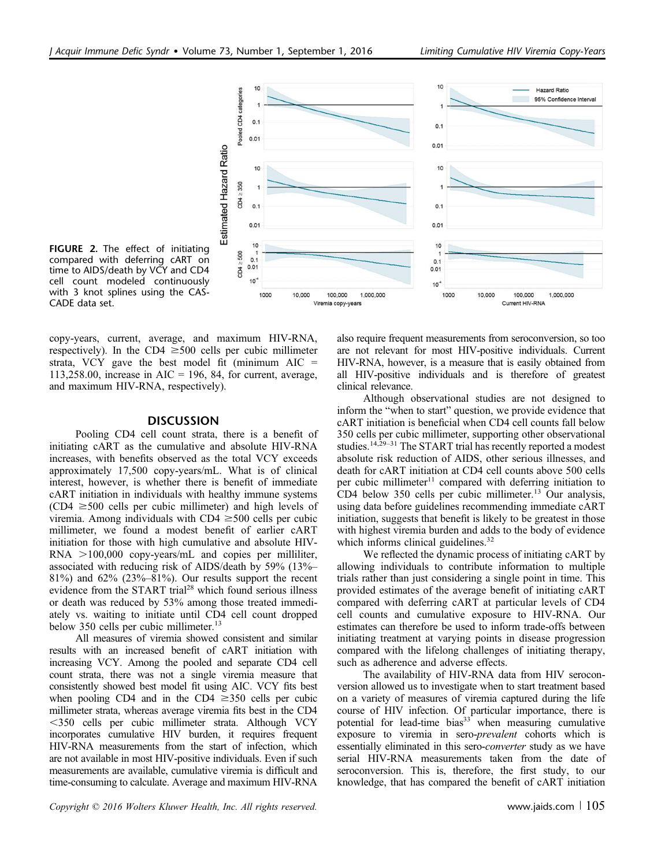

FIGURE 2. The effect of initiating compared with deferring cART on time to AIDS/death by VCY and CD4 cell count modeled continuously with 3 knot splines using the CAS-CADE data set.

copy-years, current, average, and maximum HIV-RNA, respectively). In the CD4  $\geq$ 500 cells per cubic millimeter strata, VCY gave the best model fit (minimum AIC  $=$ 113,258.00, increase in AIC = 196, 84, for current, average, and maximum HIV-RNA, respectively).

#### **DISCUSSION**

Pooling CD4 cell count strata, there is a benefit of initiating cART as the cumulative and absolute HIV-RNA increases, with benefits observed as the total VCY exceeds approximately 17,500 copy-years/mL. What is of clinical interest, however, is whether there is benefit of immediate cART initiation in individuals with healthy immune systems  $(CD4 \ge 500$  cells per cubic millimeter) and high levels of viremia. Among individuals with  $CD4 \geq 500$  cells per cubic millimeter, we found a modest benefit of earlier cART initiation for those with high cumulative and absolute HIV- $RNA >100,000$  copy-years/mL and copies per milliliter, associated with reducing risk of AIDS/death by 59% (13%– 81%) and 62% (23%–81%). Our results support the recent evidence from the START trial<sup>28</sup> which found serious illness or death was reduced by 53% among those treated immediately vs. waiting to initiate until CD4 cell count dropped below 350 cells per cubic millimeter.<sup>13</sup>

All measures of viremia showed consistent and similar results with an increased benefit of cART initiation with increasing VCY. Among the pooled and separate CD4 cell count strata, there was not a single viremia measure that consistently showed best model fit using AIC. VCY fits best when pooling CD4 and in the CD4  $\geq$ 350 cells per cubic millimeter strata, whereas average viremia fits best in the CD4 ,350 cells per cubic millimeter strata. Although VCY incorporates cumulative HIV burden, it requires frequent HIV-RNA measurements from the start of infection, which are not available in most HIV-positive individuals. Even if such measurements are available, cumulative viremia is difficult and time-consuming to calculate. Average and maximum HIV-RNA also require frequent measurements from seroconversion, so too are not relevant for most HIV-positive individuals. Current HIV-RNA, however, is a measure that is easily obtained from all HIV-positive individuals and is therefore of greatest clinical relevance.

Although observational studies are not designed to inform the "when to start" question, we provide evidence that cART initiation is beneficial when CD4 cell counts fall below 350 cells per cubic millimeter, supporting other observational studies.<sup>14,29–31</sup> The START trial has recently reported a modest absolute risk reduction of AIDS, other serious illnesses, and death for cART initiation at CD4 cell counts above 500 cells per cubic millimeter $11$  compared with deferring initiation to CD4 below  $350$  cells per cubic millimeter.<sup>13</sup> Our analysis, using data before guidelines recommending immediate cART initiation, suggests that benefit is likely to be greatest in those with highest viremia burden and adds to the body of evidence which informs clinical guidelines.<sup>32</sup>

We reflected the dynamic process of initiating cART by allowing individuals to contribute information to multiple trials rather than just considering a single point in time. This provided estimates of the average benefit of initiating cART compared with deferring cART at particular levels of CD4 cell counts and cumulative exposure to HIV-RNA. Our estimates can therefore be used to inform trade-offs between initiating treatment at varying points in disease progression compared with the lifelong challenges of initiating therapy, such as adherence and adverse effects.

The availability of HIV-RNA data from HIV seroconversion allowed us to investigate when to start treatment based on a variety of measures of viremia captured during the life course of HIV infection. Of particular importance, there is potential for lead-time bias<sup>33</sup> when measuring cumulative exposure to viremia in sero-prevalent cohorts which is essentially eliminated in this sero-converter study as we have serial HIV-RNA measurements taken from the date of seroconversion. This is, therefore, the first study, to our knowledge, that has compared the benefit of cART initiation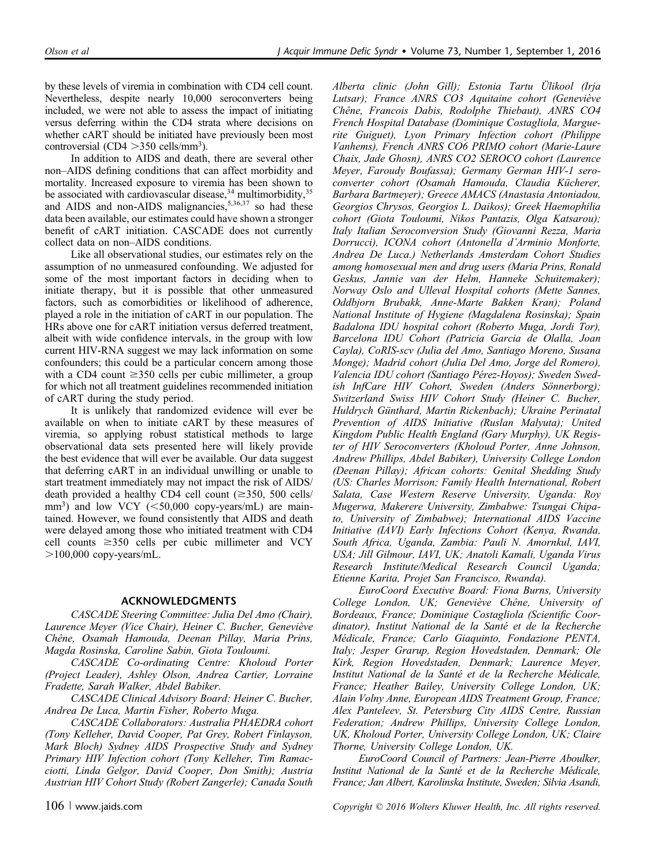by these levels of viremia in combination with CD4 cell count. Nevertheless, despite nearly 10,000 seroconverters being included, we were not able to assess the impact of initiating versus deferring within the CD4 strata where decisions on whether cART should be initiated have previously been most controversial (CD4  $>$ 350 cells/mm<sup>3</sup>).

In addition to AIDS and death, there are several other non–AIDS defining conditions that can affect morbidity and mortality. Increased exposure to viremia has been shown to be associated with cardiovascular disease,  $34$  multimorbidity,  $35$ and AIDS and non-AIDS malignancies,  $5,36,37$  so had these data been available, our estimates could have shown a stronger benefit of cART initiation. CASCADE does not currently collect data on non–AIDS conditions.

Like all observational studies, our estimates rely on the assumption of no unmeasured confounding. We adjusted for some of the most important factors in deciding when to initiate therapy, but it is possible that other unmeasured factors, such as comorbidities or likelihood of adherence, played a role in the initiation of cART in our population. The HRs above one for cART initiation versus deferred treatment, albeit with wide confidence intervals, in the group with low current HIV-RNA suggest we may lack information on some confounders; this could be a particular concern among those with a CD4 count  $\geq$ 350 cells per cubic millimeter, a group for which not all treatment guidelines recommended initiation of cART during the study period.

It is unlikely that randomized evidence will ever be available on when to initiate cART by these measures of viremia, so applying robust statistical methods to large observational data sets presented here will likely provide the best evidence that will ever be available. Our data suggest that deferring cART in an individual unwilling or unable to start treatment immediately may not impact the risk of AIDS/ death provided a healthy CD4 cell count  $(\geq 350, 500 \text{ cells})$ mm<sup>3</sup>) and low VCY  $(< 50,000$  copy-years/mL) are maintained. However, we found consistently that AIDS and death were delayed among those who initiated treatment with CD4 cell counts  $\geq 350$  cells per cubic millimeter and VCY  $>100,000$  copy-years/mL.

#### ACKNOWLEDGMENTS

CASCADE Steering Committee: Julia Del Amo (Chair), Laurence Meyer (Vice Chair), Heiner C. Bucher, Geneviève Chêne, Osamah Hamouda, Deenan Pillay, Maria Prins, Magda Rosinska, Caroline Sabin, Giota Touloumi.

CASCADE Co-ordinating Centre: Kholoud Porter (Project Leader), Ashley Olson, Andrea Cartier, Lorraine Fradette, Sarah Walker, Abdel Babiker.

CASCADE Clinical Advisory Board: Heiner C. Bucher, Andrea De Luca, Martin Fisher, Roberto Muga.

CASCADE Collaborators: Australia PHAEDRA cohort (Tony Kelleher, David Cooper, Pat Grey, Robert Finlayson, Mark Bloch) Sydney AIDS Prospective Study and Sydney Primary HIV Infection cohort (Tony Kelleher, Tim Ramacciotti, Linda Gelgor, David Cooper, Don Smith); Austria Austrian HIV Cohort Study (Robert Zangerle); Canada South

Alberta clinic (John Gill); Estonia Tartu Ülikool (Irja Lutsar); France ANRS CO3 Aquitaine cohort (Geneviève Chêne, Francois Dabis, Rodolphe Thiebaut), ANRS CO4 French Hospital Database (Dominique Costagliola, Marguerite Guiguet), Lyon Primary Infection cohort (Philippe Vanhems), French ANRS CO6 PRIMO cohort (Marie-Laure Chaix, Jade Ghosn), ANRS CO2 SEROCO cohort (Laurence Meyer, Faroudy Boufassa); Germany German HIV-1 seroconverter cohort (Osamah Hamouda, Claudia Kücherer, Barbara Bartmeyer); Greece AMACS (Anastasia Antoniadou, Georgios Chrysos, Georgios L. Daikos); Greek Haemophilia cohort (Giota Touloumi, Nikos Pantazis, Olga Katsarou); Italy Italian Seroconversion Study (Giovanni Rezza, Maria Dorrucci), ICONA cohort (Antonella d'Arminio Monforte, Andrea De Luca.) Netherlands Amsterdam Cohort Studies among homosexual men and drug users (Maria Prins, Ronald Geskus, Jannie van der Helm, Hanneke Schuitemaker); Norway Oslo and Ulleval Hospital cohorts (Mette Sannes, Oddbjorn Brubakk, Anne-Marte Bakken Kran); Poland National Institute of Hygiene (Magdalena Rosinska); Spain Badalona IDU hospital cohort (Roberto Muga, Jordi Tor), Barcelona IDU Cohort (Patricia Garcia de Olalla, Joan Cayla), CoRIS-scv (Julia del Amo, Santiago Moreno, Susana Monge); Madrid cohort (Julia Del Amo, Jorge del Romero), Valencia IDU cohort (Santiago Pérez-Hoyos); Sweden Swedish InfCare HIV Cohort, Sweden (Anders Sönnerborg); Switzerland Swiss HIV Cohort Study (Heiner C. Bucher, Huldrych Günthard, Martin Rickenbach); Ukraine Perinatal Prevention of AIDS Initiative (Ruslan Malyuta); United Kingdom Public Health England (Gary Murphy), UK Register of HIV Seroconverters (Kholoud Porter, Anne Johnson, Andrew Phillips, Abdel Babiker), University College London (Deenan Pillay); African cohorts: Genital Shedding Study (US: Charles Morrison; Family Health International, Robert Salata, Case Western Reserve University, Uganda: Roy Mugerwa, Makerere University, Zimbabwe: Tsungai Chipato, University of Zimbabwe); International AIDS Vaccine Initiative (IAVI) Early Infections Cohort (Kenya, Rwanda, South Africa, Uganda, Zambia: Pauli N. Amornkul, IAVI, USA; Jill Gilmour, IAVI, UK; Anatoli Kamali, Uganda Virus Research Institute/Medical Research Council Uganda; Etienne Karita, Projet San Francisco, Rwanda).

EuroCoord Executive Board: Fiona Burns, University College London, UK; Geneviève Chêne, University of Bordeaux, France; Dominique Costagliola (Scientific Coordinator), Institut National de la Santé et de la Recherche Médicale, France; Carlo Giaquinto, Fondazione PENTA, Italy; Jesper Grarup, Region Hovedstaden, Denmark; Ole Kirk, Region Hovedstaden, Denmark; Laurence Meyer, Institut National de la Santé et de la Recherche Médicale, France; Heather Bailey, University College London, UK; Alain Volny Anne, European AIDS Treatment Group, France; Alex Panteleev, St. Petersburg City AIDS Centre, Russian Federation; Andrew Phillips, University College London, UK, Kholoud Porter, University College London, UK; Claire Thorne, University College London, UK.

EuroCoord Council of Partners: Jean-Pierre Aboulker, Institut National de la Santé et de la Recherche Médicale, France; Jan Albert, Karolinska Institute, Sweden; Silvia Asandi,

106 <sup>|</sup> www.jaids.com Copyright © 2016 Wolters Kluwer Health, Inc. All rights reserved.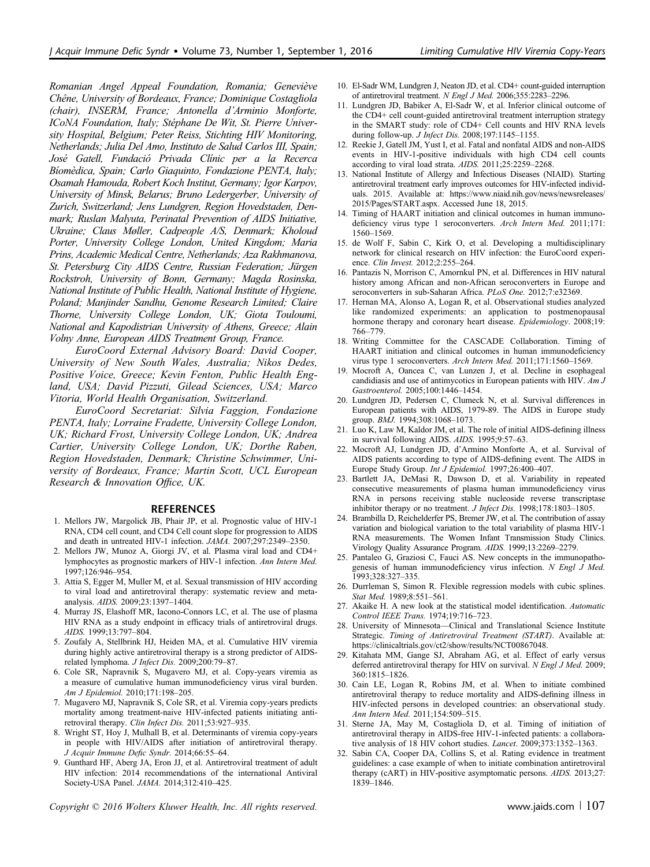Romanian Angel Appeal Foundation, Romania; Geneviève Chêne, University of Bordeaux, France; Dominique Costagliola (chair), INSERM, France; Antonella d'Arminio Monforte, ICoNA Foundation, Italy; Stéphane De Wit, St. Pierre University Hospital, Belgium; Peter Reiss, Stichting HIV Monitoring, Netherlands; Julia Del Amo, Instituto de Salud Carlos III, Spain; José Gatell, Fundació Privada Clínic per a la Recerca Bíomèdica, Spain; Carlo Giaquinto, Fondazione PENTA, Italy; Osamah Hamouda, Robert Koch Institut, Germany; Igor Karpov, University of Minsk, Belarus; Bruno Ledergerber, University of Zurich, Switzerland; Jens Lundgren, Region Hovedstaden, Denmark; Ruslan Malyuta, Perinatal Prevention of AIDS Initiative, Ukraine; Claus Møller, Cadpeople A/S, Denmark; Kholoud Porter, University College London, United Kingdom; Maria Prins, Academic Medical Centre, Netherlands; Aza Rakhmanova, St. Petersburg City AIDS Centre, Russian Federation; Jürgen Rockstroh, University of Bonn, Germany; Magda Rosinska, National Institute of Public Health, National Institute of Hygiene, Poland; Manjinder Sandhu, Genome Research Limited; Claire Thorne, University College London, UK; Giota Touloumi, National and Kapodistrian University of Athens, Greece; Alain Volny Anne, European AIDS Treatment Group, France.

EuroCoord External Advisory Board: David Cooper, University of New South Wales, Australia; Nikos Dedes, Positive Voice, Greece; Kevin Fenton, Public Health England, USA; David Pizzuti, Gilead Sciences, USA; Marco Vitoria, World Health Organisation, Switzerland.

EuroCoord Secretariat: Silvia Faggion, Fondazione PENTA, Italy; Lorraine Fradette, University College London, UK; Richard Frost, University College London, UK; Andrea Cartier, University College London, UK; Dorthe Raben, Region Hovedstaden, Denmark; Christine Schwimmer, University of Bordeaux, France; Martin Scott, UCL European Research & Innovation Office, UK.

#### REFERENCES

- 1. Mellors JW, Margolick JB, Phair JP, et al. Prognostic value of HIV-1 RNA, CD4 cell count, and CD4 Cell count slope for progression to AIDS and death in untreated HIV-1 infection. JAMA. 2007;297:2349–2350.
- 2. Mellors JW, Munoz A, Giorgi JV, et al. Plasma viral load and CD4+ lymphocytes as prognostic markers of HIV-1 infection. Ann Intern Med. 1997;126:946–954.
- 3. Attia S, Egger M, Muller M, et al. Sexual transmission of HIV according to viral load and antiretroviral therapy: systematic review and metaanalysis. AIDS. 2009;23:1397–1404.
- 4. Murray JS, Elashoff MR, Iacono-Connors LC, et al. The use of plasma HIV RNA as a study endpoint in efficacy trials of antiretroviral drugs. AIDS. 1999;13:797–804.
- 5. Zoufaly A, Stellbrink HJ, Heiden MA, et al. Cumulative HIV viremia during highly active antiretroviral therapy is a strong predictor of AIDSrelated lymphoma. J Infect Dis. 2009;200:79–87.
- 6. Cole SR, Napravnik S, Mugavero MJ, et al. Copy-years viremia as a measure of cumulative human immunodeficiency virus viral burden. Am J Epidemiol. 2010;171:198–205.
- 7. Mugavero MJ, Napravnik S, Cole SR, et al. Viremia copy-years predicts mortality among treatment-naive HIV-infected patients initiating antiretroviral therapy. Clin Infect Dis. 2011;53:927-935.
- 8. Wright ST, Hoy J, Mulhall B, et al. Determinants of viremia copy-years in people with HIV/AIDS after initiation of antiretroviral therapy. J Acquir Immune Defic Syndr. 2014;66:55–64.
- 9. Gunthard HF, Aberg JA, Eron JJ, et al. Antiretroviral treatment of adult HIV infection: 2014 recommendations of the international Antiviral Society-USA Panel. JAMA. 2014;312:410–425.

Copyright  $\heartsuit$  2016 Wolters Kluwer Health, Inc. All rights reserved. www.jaids.com | 107

- 10. El-Sadr WM, Lundgren J, Neaton JD, et al. CD4+ count-guided interruption of antiretroviral treatment. N Engl J Med. 2006;355:2283–2296.
- 11. Lundgren JD, Babiker A, El-Sadr W, et al. Inferior clinical outcome of the CD4+ cell count-guided antiretroviral treatment interruption strategy in the SMART study: role of CD4+ Cell counts and HIV RNA levels during follow-up. J Infect Dis. 2008;197:1145–1155.
- 12. Reekie J, Gatell JM, Yust I, et al. Fatal and nonfatal AIDS and non-AIDS events in HIV-1-positive individuals with high CD4 cell counts according to viral load strata. AIDS. 2011;25:2259–2268.
- 13. National Institute of Allergy and Infectious Diseases (NIAID). Starting antiretroviral treatment early improves outcomes for HIV-infected individuals. 2015. Available at: [https://www.niaid.nih.gov/news/newsreleases/](https://www.niaid.nih.gov/news/newsreleases/2015/Pages/START.aspx) [2015/Pages/START.aspx.](https://www.niaid.nih.gov/news/newsreleases/2015/Pages/START.aspx) Accessed June 18, 2015.
- 14. Timing of HAART initiation and clinical outcomes in human immunodeficiency virus type 1 seroconverters. Arch Intern Med. 2011;171: 1560–1569.
- 15. de Wolf F, Sabin C, Kirk O, et al. Developing a multidisciplinary network for clinical research on HIV infection: the EuroCoord experience. Clin Invest. 2012;2:255–264.
- 16. Pantazis N, Morrison C, Amornkul PN, et al. Differences in HIV natural history among African and non-African seroconverters in Europe and seroconverters in sub-Saharan Africa. PLoS One. 2012;7:e32369.
- 17. Hernan MA, Alonso A, Logan R, et al. Observational studies analyzed like randomized experiments: an application to postmenopausal hormone therapy and coronary heart disease. Epidemiology. 2008;19: 766–779.
- 18. Writing Committee for the CASCADE Collaboration. Timing of HAART initiation and clinical outcomes in human immunodeficiency virus type 1 seroconverters. Arch Intern Med. 2011;171:1560–1569.
- 19. Mocroft A, Oancea C, van Lunzen J, et al. Decline in esophageal candidiasis and use of antimycotics in European patients with HIV. Am J Gastroenterol. 2005;100:1446–1454.
- 20. Lundgren JD, Pedersen C, Clumeck N, et al. Survival differences in European patients with AIDS, 1979-89. The AIDS in Europe study group. BMJ. 1994;308:1068–1073.
- 21. Luo K, Law M, Kaldor JM, et al. The role of initial AIDS-defining illness in survival following AIDS. AIDS. 1995;9:57–63.
- 22. Mocroft AJ, Lundgren JD, d'Armino Monforte A, et al. Survival of AIDS patients according to type of AIDS-defining event. The AIDS in Europe Study Group. Int J Epidemiol. 1997;26:400–407.
- 23. Bartlett JA, DeMasi R, Dawson D, et al. Variability in repeated consecutive measurements of plasma human immunodeficiency virus RNA in persons receiving stable nucleoside reverse transcriptase inhibitor therapy or no treatment. J Infect Dis. 1998;178:1803–1805.
- 24. Brambilla D, Reichelderfer PS, Bremer JW, et al. The contribution of assay variation and biological variation to the total variability of plasma HIV-1 RNA measurements. The Women Infant Transmission Study Clinics. Virology Quality Assurance Program. AIDS. 1999;13:2269–2279.
- 25. Pantaleo G, Graziosi C, Fauci AS. New concepts in the immunopathogenesis of human immunodeficiency virus infection. N Engl J Med. 1993;328:327–335.
- 26. Durrleman S, Simon R. Flexible regression models with cubic splines. Stat Med. 1989;8:551–561.
- 27. Akaike H. A new look at the statistical model identification. Automatic Control IEEE Trans. 1974;19:716–723.
- 28. University of Minnesota—Clinical and Translational Science Institute Strategic. Timing of Antiretroviral Treatment (START). Available at: <https://clinicaltrials.gov/ct2/show/results/NCT00867048>.
- 29. Kitahata MM, Gange SJ, Abraham AG, et al. Effect of early versus deferred antiretroviral therapy for HIV on survival. N Engl J Med. 2009; 360:1815–1826.
- 30. Cain LE, Logan R, Robins JM, et al. When to initiate combined antiretroviral therapy to reduce mortality and AIDS-defining illness in HIV-infected persons in developed countries: an observational study. Ann Intern Med. 2011;154:509–515.
- 31. Sterne JA, May M, Costagliola D, et al. Timing of initiation of antiretroviral therapy in AIDS-free HIV-1-infected patients: a collaborative analysis of 18 HIV cohort studies. Lancet. 2009;373:1352–1363.
- 32. Sabin CA, Cooper DA, Collins S, et al. Rating evidence in treatment guidelines: a case example of when to initiate combination antiretroviral therapy (cART) in HIV-positive asymptomatic persons. AIDS. 2013;27: 1839–1846.